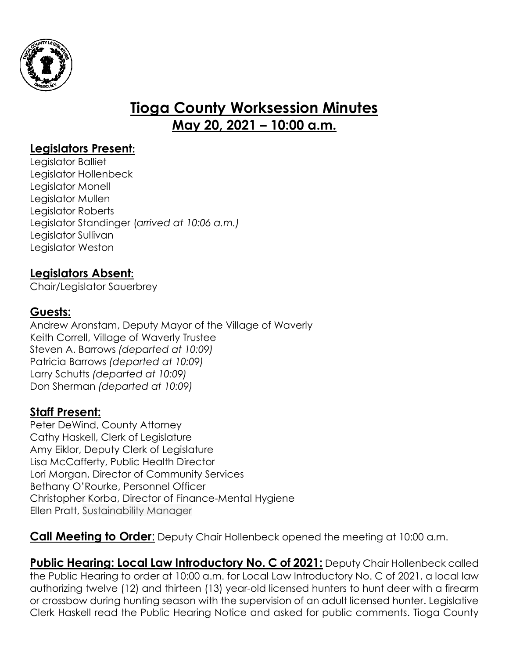

# **Tioga County Worksession Minutes May 20, 2021 – 10:00 a.m.**

## **Legislators Present:**

Legislator Balliet Legislator Hollenbeck Legislator Monell Legislator Mullen Legislator Roberts Legislator Standinger (*arrived at 10:06 a.m.)* Legislator Sullivan Legislator Weston

#### **Legislators Absent:**

Chair/Legislator Sauerbrey

## **Guests:**

Andrew Aronstam, Deputy Mayor of the Village of Waverly Keith Correll, Village of Waverly Trustee Steven A. Barrows *(departed at 10:09)* Patricia Barrows *(departed at 10:09)* Larry Schutts *(departed at 10:09)* Don Sherman *(departed at 10:09)*

#### **Staff Present:**

Peter DeWind, County Attorney Cathy Haskell, Clerk of Legislature Amy Eiklor, Deputy Clerk of Legislature Lisa McCafferty, Public Health Director Lori Morgan, Director of Community Services Bethany O'Rourke, Personnel Officer Christopher Korba, Director of Finance-Mental Hygiene Ellen Pratt, Sustainability Manager

**Call Meeting to Order**: Deputy Chair Hollenbeck opened the meeting at 10:00 a.m.

**Public Hearing: Local Law Introductory No. C of 2021: Deputy Chair Hollenbeck called** the Public Hearing to order at 10:00 a.m. for Local Law Introductory No. C of 2021, a local law authorizing twelve (12) and thirteen (13) year-old licensed hunters to hunt deer with a firearm or crossbow during hunting season with the supervision of an adult licensed hunter. Legislative Clerk Haskell read the Public Hearing Notice and asked for public comments. Tioga County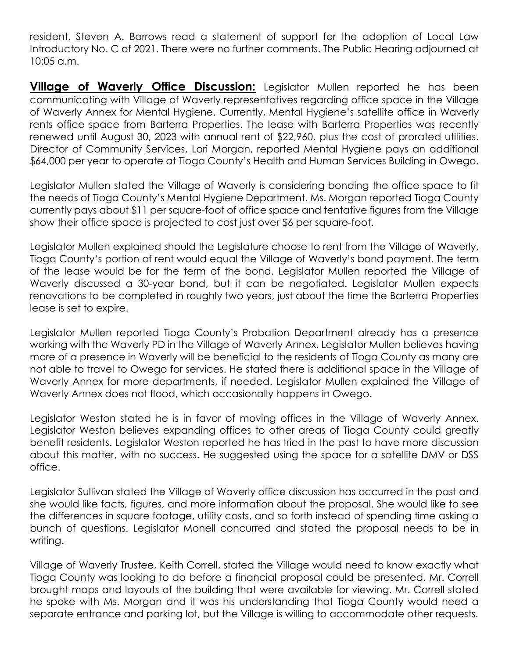resident, Steven A. Barrows read a statement of support for the adoption of Local Law Introductory No. C of 2021. There were no further comments. The Public Hearing adjourned at 10:05 a.m.

**Village of Waverly Office Discussion:** Legislator Mullen reported he has been communicating with Village of Waverly representatives regarding office space in the Village of Waverly Annex for Mental Hygiene. Currently, Mental Hygiene's satellite office in Waverly rents office space from Barterra Properties. The lease with Barterra Properties was recently renewed until August 30, 2023 with annual rent of \$22,960, plus the cost of prorated utilities. Director of Community Services, Lori Morgan, reported Mental Hygiene pays an additional \$64,000 per year to operate at Tioga County's Health and Human Services Building in Owego.

Legislator Mullen stated the Village of Waverly is considering bonding the office space to fit the needs of Tioga County's Mental Hygiene Department. Ms. Morgan reported Tioga County currently pays about \$11 per square-foot of office space and tentative figures from the Village show their office space is projected to cost just over \$6 per square-foot.

Legislator Mullen explained should the Legislature choose to rent from the Village of Waverly, Tioga County's portion of rent would equal the Village of Waverly's bond payment. The term of the lease would be for the term of the bond. Legislator Mullen reported the Village of Waverly discussed a 30-year bond, but it can be negotiated. Legislator Mullen expects renovations to be completed in roughly two years, just about the time the Barterra Properties lease is set to expire.

Legislator Mullen reported Tioga County's Probation Department already has a presence working with the Waverly PD in the Village of Waverly Annex. Legislator Mullen believes having more of a presence in Waverly will be beneficial to the residents of Tioga County as many are not able to travel to Owego for services. He stated there is additional space in the Village of Waverly Annex for more departments, if needed. Legislator Mullen explained the Village of Waverly Annex does not flood, which occasionally happens in Owego.

Legislator Weston stated he is in favor of moving offices in the Village of Waverly Annex. Legislator Weston believes expanding offices to other areas of Tioga County could greatly benefit residents. Legislator Weston reported he has tried in the past to have more discussion about this matter, with no success. He suggested using the space for a satellite DMV or DSS office.

Legislator Sullivan stated the Village of Waverly office discussion has occurred in the past and she would like facts, figures, and more information about the proposal. She would like to see the differences in square footage, utility costs, and so forth instead of spending time asking a bunch of questions. Legislator Monell concurred and stated the proposal needs to be in writing.

Village of Waverly Trustee, Keith Correll, stated the Village would need to know exactly what Tioga County was looking to do before a financial proposal could be presented. Mr. Correll brought maps and layouts of the building that were available for viewing. Mr. Correll stated he spoke with Ms. Morgan and it was his understanding that Tioga County would need a separate entrance and parking lot, but the Village is willing to accommodate other requests.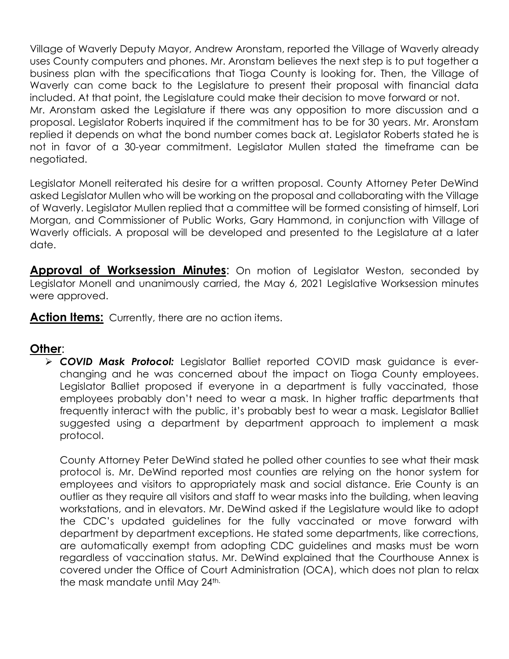Village of Waverly Deputy Mayor, Andrew Aronstam, reported the Village of Waverly already uses County computers and phones. Mr. Aronstam believes the next step is to put together a business plan with the specifications that Tioga County is looking for. Then, the Village of Waverly can come back to the Legislature to present their proposal with financial data included. At that point, the Legislature could make their decision to move forward or not. Mr. Aronstam asked the Legislature if there was any opposition to more discussion and a proposal. Legislator Roberts inquired if the commitment has to be for 30 years. Mr. Aronstam replied it depends on what the bond number comes back at. Legislator Roberts stated he is not in favor of a 30-year commitment. Legislator Mullen stated the timeframe can be negotiated.

Legislator Monell reiterated his desire for a written proposal. County Attorney Peter DeWind asked Legislator Mullen who will be working on the proposal and collaborating with the Village of Waverly. Legislator Mullen replied that a committee will be formed consisting of himself, Lori Morgan, and Commissioner of Public Works, Gary Hammond, in conjunction with Village of Waverly officials. A proposal will be developed and presented to the Legislature at a later date.

**Approval of Worksession Minutes**: On motion of Legislator Weston, seconded by Legislator Monell and unanimously carried, the May 6, 2021 Legislative Worksession minutes were approved.

Action Items: Currently, there are no action items.

#### **Other**:

 *COVID Mask Protocol:* Legislator Balliet reported COVID mask guidance is everchanging and he was concerned about the impact on Tioga County employees. Legislator Balliet proposed if everyone in a department is fully vaccinated, those employees probably don't need to wear a mask. In higher traffic departments that frequently interact with the public, it's probably best to wear a mask. Legislator Balliet suggested using a department by department approach to implement a mask protocol.

County Attorney Peter DeWind stated he polled other counties to see what their mask protocol is. Mr. DeWind reported most counties are relying on the honor system for employees and visitors to appropriately mask and social distance. Erie County is an outlier as they require all visitors and staff to wear masks into the building, when leaving workstations, and in elevators. Mr. DeWind asked if the Legislature would like to adopt the CDC's updated guidelines for the fully vaccinated or move forward with department by department exceptions. He stated some departments, like corrections, are automatically exempt from adopting CDC guidelines and masks must be worn regardless of vaccination status. Mr. DeWind explained that the Courthouse Annex is covered under the Office of Court Administration (OCA), which does not plan to relax the mask mandate until May 24th.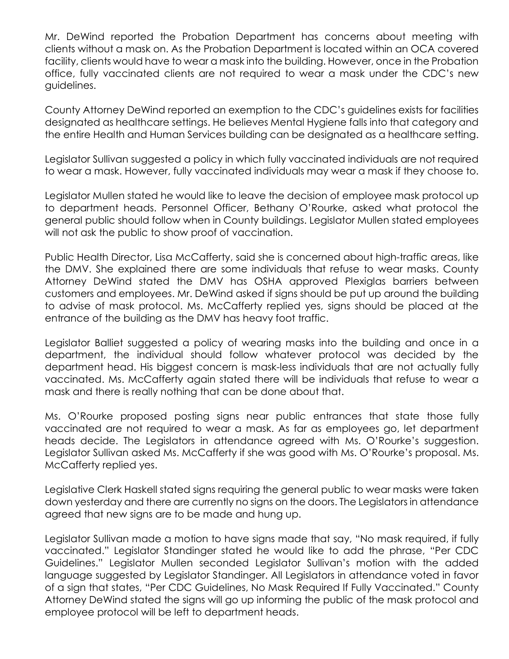Mr. DeWind reported the Probation Department has concerns about meeting with clients without a mask on. As the Probation Department is located within an OCA covered facility, clients would have to wear a mask into the building. However, once in the Probation office, fully vaccinated clients are not required to wear a mask under the CDC's new guidelines.

County Attorney DeWind reported an exemption to the CDC's guidelines exists for facilities designated as healthcare settings. He believes Mental Hygiene falls into that category and the entire Health and Human Services building can be designated as a healthcare setting.

Legislator Sullivan suggested a policy in which fully vaccinated individuals are not required to wear a mask. However, fully vaccinated individuals may wear a mask if they choose to.

Legislator Mullen stated he would like to leave the decision of employee mask protocol up to department heads. Personnel Officer, Bethany O'Rourke, asked what protocol the general public should follow when in County buildings. Legislator Mullen stated employees will not ask the public to show proof of vaccination.

Public Health Director, Lisa McCafferty, said she is concerned about high-traffic areas, like the DMV. She explained there are some individuals that refuse to wear masks. County Attorney DeWind stated the DMV has OSHA approved Plexiglas barriers between customers and employees. Mr. DeWind asked if signs should be put up around the building to advise of mask protocol. Ms. McCafferty replied yes, signs should be placed at the entrance of the building as the DMV has heavy foot traffic.

Legislator Balliet suggested a policy of wearing masks into the building and once in a department, the individual should follow whatever protocol was decided by the department head. His biggest concern is mask-less individuals that are not actually fully vaccinated. Ms. McCafferty again stated there will be individuals that refuse to wear a mask and there is really nothing that can be done about that.

Ms. O'Rourke proposed posting signs near public entrances that state those fully vaccinated are not required to wear a mask. As far as employees go, let department heads decide. The Legislators in attendance agreed with Ms. O'Rourke's suggestion. Legislator Sullivan asked Ms. McCafferty if she was good with Ms. O'Rourke's proposal. Ms. McCafferty replied yes.

Legislative Clerk Haskell stated signs requiring the general public to wear masks were taken down yesterday and there are currently no signs on the doors. The Legislators in attendance agreed that new signs are to be made and hung up.

Legislator Sullivan made a motion to have signs made that say, "No mask required, if fully vaccinated." Legislator Standinger stated he would like to add the phrase, "Per CDC Guidelines." Legislator Mullen seconded Legislator Sullivan's motion with the added language suggested by Legislator Standinger. All Legislators in attendance voted in favor of a sign that states, "Per CDC Guidelines, No Mask Required If Fully Vaccinated." County Attorney DeWind stated the signs will go up informing the public of the mask protocol and employee protocol will be left to department heads.